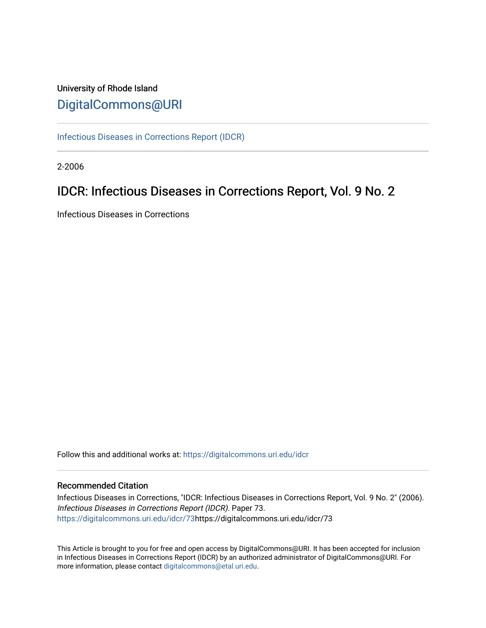## University of Rhode Island [DigitalCommons@URI](https://digitalcommons.uri.edu/)

[Infectious Diseases in Corrections Report \(IDCR\)](https://digitalcommons.uri.edu/idcr)

2-2006

## IDCR: Infectious Diseases in Corrections Report, Vol. 9 No. 2

Infectious Diseases in Corrections

Follow this and additional works at: [https://digitalcommons.uri.edu/idcr](https://digitalcommons.uri.edu/idcr?utm_source=digitalcommons.uri.edu%2Fidcr%2F73&utm_medium=PDF&utm_campaign=PDFCoverPages)

### Recommended Citation

Infectious Diseases in Corrections, "IDCR: Infectious Diseases in Corrections Report, Vol. 9 No. 2" (2006). Infectious Diseases in Corrections Report (IDCR). Paper 73. [https://digitalcommons.uri.edu/idcr/73h](https://digitalcommons.uri.edu/idcr/73?utm_source=digitalcommons.uri.edu%2Fidcr%2F73&utm_medium=PDF&utm_campaign=PDFCoverPages)ttps://digitalcommons.uri.edu/idcr/73

This Article is brought to you for free and open access by DigitalCommons@URI. It has been accepted for inclusion in Infectious Diseases in Corrections Report (IDCR) by an authorized administrator of DigitalCommons@URI. For more information, please contact [digitalcommons@etal.uri.edu.](mailto:digitalcommons@etal.uri.edu)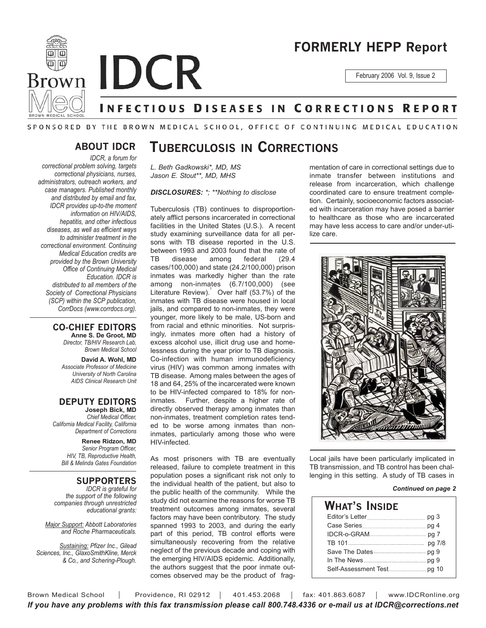

# **FORMERLY HEPP Report**

February 2006 Vol. 9, Issue 2

## **INFECTIOUS DISEASES IN CORRECTIONS REPORT**

### SPONSORED BY THE BROWN MEDICAL SCHOOL, OFFICE OF CONTINUING MEDICAL EDUCATION

### **ABOUT IDCR**

*IDCR, a forum for correctional problem solving, targets correctional physicians, nurses, administrators, outreach workers, and case managers. Published monthly and distributed by email and fax, IDCR provides up-to-the moment information on HIV/AIDS, hepatitis, and other infectious diseases, as well as efficient ways to administer treatment in the correctional environment. Continuing Medical Education credits are provided by the Brown University Office of Continuing Medical Education. IDCR is distributed to all members of the Society of Correctional Physicians (SCP) within the SCP publication, CorrDocs (www.corrdocs.org).*

#### **CO-CHIEF EDITORS Anne S. De Groot, MD**

*Director, TB/HIV Research Lab, Brown Medical School*

**David A. Wohl, MD** *Associate Professor of Medicine University of North Carolina AIDS Clinical Research Unit*

### **DEPUTY EDITORS**

**Joseph Bick, MD** *Chief Medical Officer, California Medical Facility, California Department of Corrections*

**Renee Ridzon, MD** *Senior Program Officer, HIV, TB, Reproductive Health, Bill & Melinda Gates Foundation*

#### **SUPPORTERS**

*IDCR is grateful for the support of the following companies through unrestricted educational grants:*

*Major Support: Abbott Laboratories and Roche Pharmaceuticals.* 

*Sustaining: Pfizer Inc., Gilead Sciences, Inc., GlaxoSmithKline, Merck & Co., and Schering-Plough.*

## **TUBERCULOSIS IN CORRECTIONS**

*L. Beth Gadkowski\*, MD, MS Jason E. Stout\*\*, MD, MHS*

*DISCLOSURES: \*; \*\*Nothing to disclose*

Tuberculosis (TB) continues to disproportionately afflict persons incarcerated in correctional facilities in the United States (U.S.). A recent study examining surveillance data for all persons with TB disease reported in the U.S. between 1993 and 2003 found that the rate of TB disease among federal (29.4 cases/100,000) and state (24.2/100,000) prison inmates was markedly higher than the rate among non-inmates (6.7/100,000) (see Literature Review). Over half (53.7%) of the inmates with TB disease were housed in local jails, and compared to non-inmates, they were younger, more likely to be male, US-born and from racial and ethnic minorities. Not surprisingly, inmates more often had a history of excess alcohol use, illicit drug use and homelessness during the year prior to TB diagnosis. Co-infection with human immunodeficiency virus (HIV) was common among inmates with TB disease. Among males between the ages of 18 and 64, 25% of the incarcerated were known to be HIV-infected compared to 18% for noninmates. Further, despite a higher rate of directly observed therapy among inmates than non-inmates, treatment completion rates tended to be worse among inmates than noninmates, particularly among those who were HIV-infected.

As most prisoners with TB are eventually released, failure to complete treatment in this population poses a significant risk not only to the individual health of the patient, but also to the public health of the community. While the study did not examine the reasons for worse TB treatment outcomes among inmates, several factors may have been contributory. The study spanned 1993 to 2003, and during the early part of this period, TB control efforts were simultaneously recovering from the relative neglect of the previous decade and coping with the emerging HIV/AIDS epidemic. Additionally, the authors suggest that the poor inmate outcomes observed may be the product of fragmentation of care in correctional settings due to inmate transfer between institutions and release from incarceration, which challenge coordinated care to ensure treatment completion. Certainly, socioeconomic factors associated with incarceration may have posed a barrier to healthcare as those who are incarcerated may have less access to care and/or under-utilize care.



Local jails have been particularly implicated in TB transmission, and TB control has been challenging in this setting. A study of TB cases in

#### *Continued on page 2*

| What's Inside |  |
|---------------|--|
|               |  |
|               |  |
|               |  |
|               |  |
|               |  |
|               |  |
|               |  |

Brown Medical School | Providence, RI 02912 | 401.453.2068 | fax: 401.863.6087 | www.IDCRonline.org *If you have any problems with this fax transmission please call 800.748.4336 or e-mail us at IDCR@corrections.net*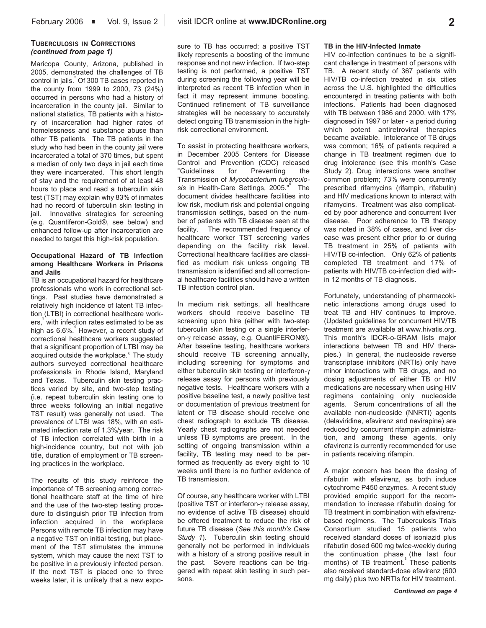#### **TUBERCULOSIS IN CORRECTIONS** *(continued from page 1)*

Maricopa County, Arizona, published in 2005, demonstrated the challenges of TB control in jails.<sup>2</sup> Of 300 TB cases reported in the county from 1999 to 2000, 73 (24%) occurred in persons who had a history of incarceration in the county jail. Similar to national statistics, TB patients with a history of incarceration had higher rates of homelessness and substance abuse than other TB patients. The TB patients in the study who had been in the county jail were incarcerated a total of 370 times, but spent a median of only two days in jail each time they were incarcerated. This short length of stay and the requirement of at least 48 hours to place and read a tuberculin skin test (TST) may explain why 83% of inmates had no record of tuberculin skin testing in jail. Innovative strategies for screening (e.g. Quantiferon-Gold®, see below) and enhanced follow-up after incarceration are needed to target this high-risk population.

#### **Occupational Hazard of TB Infection among Healthcare Workers in Prisons and Jails**

TB is an occupational hazard for healthcare professionals who work in correctional settings. Past studies have demonstrated a relatively high incidence of latent TB infection (LTBI) in correctional healthcare workers,<sup>3</sup> with infection rates estimated to be as high as 6.6%.<sup>4</sup> However, a recent study of correctional healthcare workers suggested that a significant proportion of LTBI may be acquired outside the workplace.<sup>5</sup> The study authors surveyed correctional healthcare professionals in Rhode Island, Maryland and Texas. Tuberculin skin testing practices varied by site, and two-step testing (i.e. repeat tuberculin skin testing one to three weeks following an initial negative TST result) was generally not used. The prevalence of LTBI was 18%, with an estimated infection rate of 1.3%/year. The risk of TB infection correlated with birth in a high-incidence country, but not with job title, duration of employment or TB screening practices in the workplace.

The results of this study reinforce the importance of TB screening among correctional healthcare staff at the time of hire and the use of the two-step testing procedure to distinguish prior TB infection from infection acquired in the workplace Persons with remote TB infection may have a negative TST on initial testing, but placement of the TST stimulates the immune system, which may cause the next TST to be positive in a previously infected person. If the next TST is placed one to three weeks later, it is unlikely that a new expo-

sure to TB has occurred; a positive TST likely represents a boosting of the immune response and not new infection. If two-step testing is not performed, a positive TST during screening the following year will be interpreted as recent TB infection when in fact it may represent immune boosting. Continued refinement of TB surveillance strategies will be necessary to accurately detect ongoing TB transmission in the highrisk correctional environment.

To assist in protecting healthcare workers, in December 2005 Centers for Disease Control and Prevention (CDC) released "Guidelines for Preventing the Transmission of *Mycobacterium tuberculo*sis in Health-Care Settings, 2005."<sup>6</sup> The document divides healthcare facilities into low risk, medium risk and potential ongoing transmission settings, based on the number of patients with TB disease seen at the facility. The recommended frequency of healthcare worker TST screening varies depending on the facility risk level. Correctional healthcare facilities are classified as medium risk unless ongoing TB transmission is identified and all correctional healthcare facilities should have a written TB infection control plan.

In medium risk settings, all healthcare workers should receive baseline TB screening upon hire (either with two-step tuberculin skin testing or a single interferon-γ release assay, e.g. QuantiFERON®). After baseline testing, healthcare workers should receive TB screening annually, including screening for symptoms and either tuberculin skin testing or interferon-γ release assay for persons with previously negative tests. Healthcare workers with a positive baseline test, a newly positive test or documentation of previous treatment for latent or TB disease should receive one chest radiograph to exclude TB disease. Yearly chest radiographs are not needed unless TB symptoms are present. In the setting of ongoing transmission within a facility, TB testing may need to be performed as frequently as every eight to 10 weeks until there is no further evidence of TB transmission.

Of course, any healthcare worker with LTBI (positive TST or interferon-γ release assay, no evidence of active TB disease) should be offered treatment to reduce the risk of future TB disease (*See this month's Case Study 1*). Tuberculin skin testing should generally not be performed in individuals with a history of a strong positive result in the past. Severe reactions can be triggered with repeat skin testing in such persons.

#### **TB in the HIV-Infected Inmate**

HIV co-infection continues to be a significant challenge in treatment of persons with TB. A recent study of 367 patients with HIV/TB co-infection treated in six cities across the U.S. highlighted the difficulties encountered in treating patients with both infections.<sup>7</sup> Patients had been diagnosed with TB between 1986 and 2000, with 17% diagnosed in 1997 or later - a period during which potent antiretroviral therapies became available. Intolerance of TB drugs was common; 16% of patients required a change in TB treatment regimen due to drug intolerance (see this month's Case Study 2). Drug interactions were another common problem; 73% were concurrently prescribed rifamycins (rifampin, rifabutin) and HIV medications known to interact with rifamycins. Treatment was also complicated by poor adherence and concurrent liver disease. Poor adherence to TB therapy was noted in 38% of cases, and liver disease was present either prior to or during TB treatment in 25% of patients with HIV/TB co-infection. Only 62% of patients completed TB treatment and 17% of patients with HIV/TB co-infection died within 12 months of TB diagnosis.

Fortunately, understanding of pharmacokinetic interactions among drugs used to treat TB and HIV continues to improve. (Updated guidelines for concurrent HIV/TB treatment are available at www.hivatis.org. This month's IDCR-o-GRAM lists major interactions between TB and HIV therapies.) In general, the nucleoside reverse transcriptase inhibitors (NRTIs) only have minor interactions with TB drugs, and no dosing adjustments of either TB or HIV medications are necessary when using HIV regimens containing only nucleoside agents. Serum concentrations of all the available non-nucleoside (NNRTI) agents (delaviridine, efavirenz and nevirapine) are reduced by concurrent rifampin administration, and among these agents, only efavirenz is currently recommended for use in patients receiving rifampin.

A major concern has been the dosing of rifabutin with efavirenz, as both induce cytochrome P450 enzymes. A recent study provided empiric support for the recommendation to increase rifabutin dosing for TB treatment in combination with efavirenzbased regimens. The Tuberculosis Trials Consortium studied 15 patients who received standard doses of isoniazid plus rifabutin dosed 600 mg twice-weekly during the continuation phase (the last four months) of TB treatment. These patients also received standard-dose efavirenz (600 mg daily) plus two NRTIs for HIV treatment.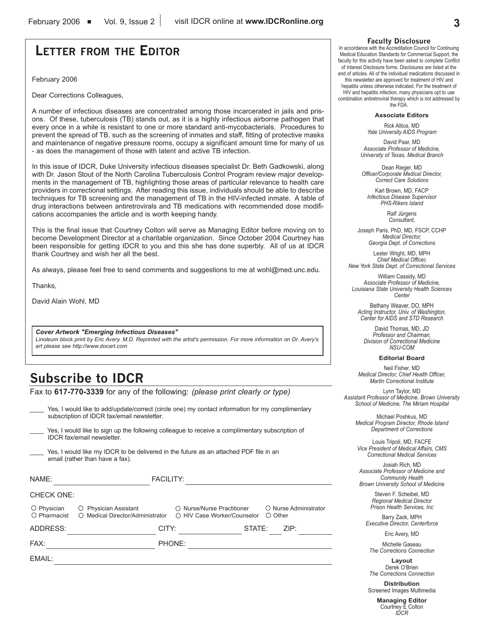## **LETTER FROM THE EDITOR**

February 2006

Dear Corrections Colleagues,

A number of infectious diseases are concentrated among those incarcerated in jails and prisons. Of these, tuberculosis (TB) stands out, as it is a highly infectious airborne pathogen that every once in a while is resistant to one or more standard anti-mycobacterials. Procedures to prevent the spread of TB, such as the screening of inmates and staff, fitting of protective masks and maintenance of negative pressure rooms, occupy a significant amount time for many of us - as does the management of those with latent and active TB infection.

In this issue of IDCR, Duke University infectious diseases specialist Dr. Beth Gadkowski, along with Dr. Jason Stout of the North Carolina Tuberculosis Control Program review major developments in the management of TB, highlighting those areas of particular relevance to health care providers in correctional settings. After reading this issue, individuals should be able to describe techniques for TB screening and the management of TB in the HIV-infected inmate. A table of drug interactions between antiretrovirals and TB medications with recommended dose modifications accompanies the article and is worth keeping handy.

This is the final issue that Courtney Colton will serve as Managing Editor before moving on to become Development Director at a charitable organization. Since October 2004 Courtney has been responsible for getting IDCR to you and this she has done superbly. All of us at IDCR thank Courtney and wish her all the best.

As always, please feel free to send comments and suggestions to me at wohl@med.unc.edu.

Thanks,

David Alain Wohl, MD

*Cover Artwork "Emerging Infectious Diseases"*

*Linoleum block print by Eric Avery. M.D. Reprinted with the artist's permission. For more information on Dr. Avery's art please see http://www.docart.com*

## **Subscribe to IDCR**

Fax to **617-770-3339** for any of the following: *(please print clearly or type)*

Yes, I would like to add/update/correct (circle one) my contact information for my complimentary subscription of IDCR fax/email newsletter.

Yes, I would like to sign up the following colleague to receive a complimentary subscription of IDCR fax/email newsletter.

Yes, I would like my IDCR to be delivered in the future as an attached PDF file in an email (rather than have a fax).

| NAME:             | <b>FACILITY:</b>                                                       |                                                           |        |                                        |
|-------------------|------------------------------------------------------------------------|-----------------------------------------------------------|--------|----------------------------------------|
| <b>CHECK ONE:</b> |                                                                        |                                                           |        |                                        |
| O Physician       | O Physician Assistant<br>○ Pharmacist ○ Medical Director/Administrator | ○ Nurse/Nurse Practitioner<br>○ HIV Case Worker/Counselor |        | O Nurse Administrator<br>$\circ$ Other |
| ADDRESS:          | CITY:                                                                  |                                                           | STATE: | ZIP:                                   |
| FAX:              |                                                                        | PHONE:                                                    |        |                                        |
| EMAIL:            |                                                                        |                                                           |        |                                        |

#### **Faculty Disclosure**

In accordance with the Accreditation Council for Continuing Medical Education Standards for Commercial Support, the faculty for this activity have been asked to complete Conflict of Interest Disclosure forms. Disclosures are listed at the end of articles. All of the individual medications discussed in this newsletter are approved for treatment of HIV and

hepatitis unless otherwise indicated. For the treatment of HIV and hepatitis infection, many physicians opt to use combination antiretroviral therapy which is not addressed by the FDA.

#### **Associate Editors**

Rick Altice, MD *Yale University AIDS Program*

David Paar, MD *Associate Professor of Medicine, University of Texas, Medical Branch*

Dean Rieger, MD *Officer/Corporate Medical Director, Correct Care Solutions*

Karl Brown, MD, FACP *Infectious Disease Supervisor PHS-Rikers Island*

> Ralf Jürgens *Consultant,*

Joseph Paris, PhD, MD, FSCP, CCHP *Medical Director, Georgia Dept. of Corrections*

Lester Wright, MD, MPH *Chief Medical Officer, New York State Dept. of Correctional Services*

William Cassidy, MD *Associate Professor of Medicine, Louisiana State University Health Sciences Center*

Bethany Weaver, DO, MPH *Acting Instructor, Univ. of Washington, Center for AIDS and STD Research*

David Thomas, MD, JD *Professor and Chairman, Division of Correctional Medicine NSU-COM*

#### **Editorial Board**

Neil Fisher, MD *Medical Director, Chief Health Officer, Martin Correctional Institute*

Lynn Taylor, MD *Assistant Professor of Medicine, Brown University School of Medicine, The Miriam Hospital*

Michael Poshkus, MD *Medical Program Director, Rhode Island Department of Corrections*

Louis Tripoli, MD, FACFE *Vice President of Medical Affairs, CMS Correctional Medical Services*

Josiah Rich, MD *Associate Professor of Medicine and Community Health Brown University School of Medicine*

> Steven F. Scheibel, MD *Regional Medical Director Prison Health Services, Inc*

Barry Zack, MPH *Executive Director, Centerforce*

Eric Avery, MD

Michelle Gaseau *The Corrections Connection*

**Layout** Derek O'Brien *The Corrections Connection*

**Distribution** Screened Images Multimedia

> **Managing Editor** Courtney E Colton *IDCR*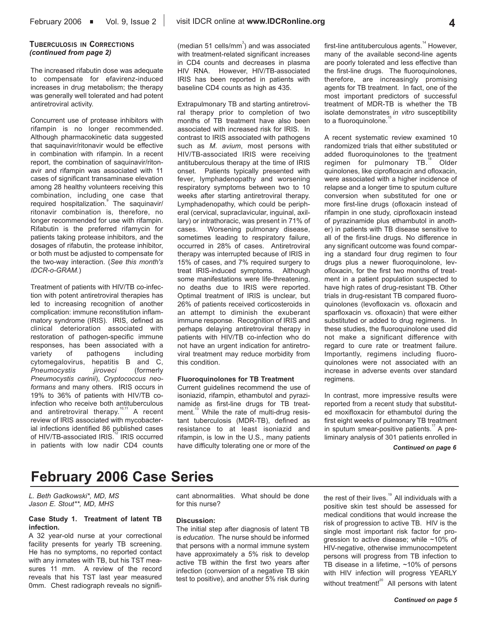#### **TUBERCULOSIS IN CORRECTIONS** *(continued from page 2)*

The increased rifabutin dose was adequate to compensate for efavirenz-induced increases in drug metabolism; the therapy was generally well tolerated and had potent antiretroviral activity.

Concurrent use of protease inhibitors with rifampin is no longer recommended. Although pharmacokinetic data suggested that saquinavir/ritonavir would be effective in combination with rifampin. In a recent report, the combination of saquinavir/ritonavir and rifampin was associated with 11 cases of significant transaminase elevation among 28 healthy volunteers receiving this combination, including one case that<br>required hospitalization. The saquinavir/ ritonavir combination is, therefore, no longer recommended for use with rifampin. Rifabutin is the preferred rifamycin for patients taking protease inhibitors, and the dosages of rifabutin, the protease inhibitor, or both must be adjusted to compensate for the two-way interaction. (*See this month's IDCR-o-GRAM.*)

Treatment of patients with HIV/TB co-infection with potent antiretroviral therapies has led to increasing recognition of another complication: immune reconstitution inflammatory syndrome (IRIS). IRIS, defined as clinical deterioration associated with restoration of pathogen-specific immune responses, has been associated with a variety of pathogens including cytomegalovirus, hepatitis B and C, *Pneumocystis jiroveci* (formerly *Pneumocystis carinii*), *Cryptococcus neoformans* and many others. IRIS occurs in 19% to 36% of patients with HIV/TB coinfection who receive both antituberculous and antiretroviral therapy.<sup>10,11</sup> A recent review of IRIS associated with mycobacterial infections identified 86 published cases of HIV/TB-associated IRIS.<sup>12</sup> IRIS occurred in patients with low nadir CD4 counts

(median 51 cells/mm $3$ ) and was associated with treatment-related significant increases in CD4 counts and decreases in plasma HIV RNA. However, HIV/TB-associated IRIS has been reported in patients with baseline CD4 counts as high as 435.

Extrapulmonary TB and starting antiretroviral therapy prior to completion of two months of TB treatment have also been associated with increased risk for IRIS. In contrast to IRIS associated with pathogens such as *M. avium*, most persons with HIV/TB-associated IRIS were receiving antituberculous therapy at the time of IRIS onset. Patients typically presented with fever, lymphadenopathy and worsening respiratory symptoms between two to 10 weeks after starting antiretroviral therapy. Lymphadenopathy, which could be peripheral (cervical, supraclavicular, inguinal, axillary) or intrathoracic, was present in 71% of cases. Worsening pulmonary disease, sometimes leading to respiratory failure, occurred in 28% of cases. Antiretroviral therapy was interrupted because of IRIS in 15% of cases, and 7% required surgery to treat IRIS-induced symptoms. Although some manifestations were life-threatening, no deaths due to IRIS were reported. Optimal treatment of IRIS is unclear, but 26% of patients received corticosteroids in an attempt to diminish the exuberant immune response. Recognition of IRIS and perhaps delaying antiretroviral therapy in patients with HIV/TB co-infection who do not have an urgent indication for antiretroviral treatment may reduce morbidity from this condition.

#### **Fluoroquinolones for TB Treatment**

Current guidelines recommend the use of isoniazid, rifampin, ethambutol and pyrazinamide as first-line drugs for TB treatment.<sup>13</sup> While the rate of multi-drug resistant tuberculosis (MDR-TB), defined as resistance to at least isoniazid and rifampin, is low in the U.S., many patients have difficulty tolerating one or more of the

first-line antituberculous agents.<sup>14</sup> However, many of the available second-line agents are poorly tolerated and less effective than the first-line drugs. The fluoroquinolones, therefore, are increasingly promising agents for TB treatment. In fact, one of the most important predictors of successful treatment of MDR-TB is whether the TB isolate demonstrates *in vitro* susceptibility to a fluoroquinolone.

A recent systematic review examined 10 randomized trials that either substituted or added fluoroquinolones to the treatment regimen for pulmonary TB.<sup>16</sup> Older quinolones, like ciprofloxacin and ofloxacin, were associated with a higher incidence of relapse and a longer time to sputum culture conversion when substituted for one or more first-line drugs (ofloxacin instead of rifampin in one study, ciprofloxacin instead of pyrazinamide plus ethambutol in another) in patients with TB disease sensitive to all of the first-line drugs. No difference in any significant outcome was found comparing a standard four drug regimen to four drugs plus a newer fluoroquinolone, levofloxacin, for the first two months of treatment in a patient population suspected to have high rates of drug-resistant TB. Other trials in drug-resistant TB compared fluoroquinolones (levofloxacin vs. ofloxacin and sparfloxacin vs. ofloxacin) that were either substituted or added to drug regimens. In these studies, the fluoroquinolone used did not make a significant difference with regard to cure rate or treatment failure. Importantly, regimens including fluoroquinolones were not associated with an increase in adverse events over standard regimens.

In contrast, more impressive results were reported from a recent study that substituted moxifloxacin for ethambutol during the first eight weeks of pulmonary TB treatment in sputum smear-positive patients.<sup>17</sup> A preliminary analysis of 301 patients enrolled in

*Continued on page 6*

# **February 2006 Case Series**

*L. Beth Gadkowski\*, MD, MS Jason E. Stout\*\*, MD, MHS*

#### **Case Study 1. Treatment of latent TB infection.**

A 32 year-old nurse at your correctional facility presents for yearly TB screening. He has no symptoms, no reported contact with any inmates with TB, but his TST measures 11 mm. A review of the record reveals that his TST last year measured 0mm. Chest radiograph reveals no significant abnormalities. What should be done for this nurse?

#### **Discussion:**

The initial step after diagnosis of latent TB is *education*. The nurse should be informed that persons with a normal immune system have approximately a 5% risk to develop active TB within the first two years after infection (conversion of a negative TB skin test to positive), and another 5% risk during the rest of their lives. $19$  All individuals with a positive skin test should be assessed for medical conditions that would increase the risk of progression to active TB. HIV is the single most important risk factor for progression to active disease; while ~10% of HIV-negative, otherwise immunocompetent persons will progress from TB infection to TB disease in a lifetime, ~10% of persons with HIV infection will progress YEARLY without treatment! $2^{\circ}$  All persons with latent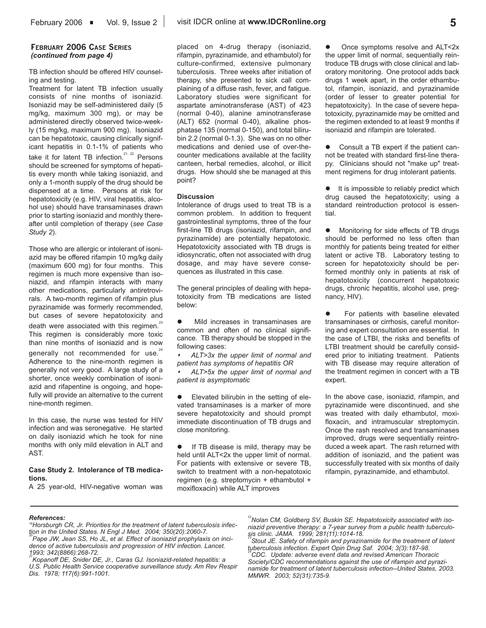TB infection should be offered HIV counseling and testing.

Treatment for latent TB infection usually consists of nine months of isoniazid. Isoniazid may be self-administered daily (5 mg/kg, maximum 300 mg), or may be administered directly observed twice-weekly (15 mg/kg, maximum 900 mg). Isoniazid can be hepatotoxic, causing clinically significant hepatitis in 0.1-1% of patients who take it for latent TB infection.<sup>21, 22</sup> Persons should be screened for symptoms of hepatitis every month while taking isoniazid, and only a 1-month supply of the drug should be dispensed at a time. Persons at risk for hepatotoxicity (e.g. HIV, viral hepatitis, alcohol use) should have transaminases drawn prior to starting isoniazid and monthly thereafter until completion of therapy (*see Case Study 2*).

Those who are allergic or intolerant of isoniazid may be offered rifampin 10 mg/kg daily (maximum 600 mg) for four months. This regimen is much more expensive than isoniazid, and rifampin interacts with many other medications, particularly antiretrovirals. A two-month regimen of rifampin plus pyrazinamide was formerly recommended, but cases of severe hepatotoxicity and death were associated with this regimen.<sup>23</sup> This regimen is considerably more toxic than nine months of isoniazid and is now generally not recommended for use. $24$ Adherence to the nine-month regimen is generally not very good. A large study of a shorter, once weekly combination of isoniazid and rifapentine is ongoing, and hopefully will provide an alternative to the current nine-month regimen.

In this case, the nurse was tested for HIV infection and was seronegative. He started on daily isoniazid which he took for nine months with only mild elevation in ALT and AST.

#### **Case Study 2. Intolerance of TB medications.**

A 25 year-old, HIV-negative woman was

placed on 4-drug therapy (isoniazid, rifampin, pyrazinamide, and ethambutol) for culture-confirmed, extensive pulmonary tuberculosis. Three weeks after initiation of therapy, she presented to sick call complaining of a diffuse rash, fever, and fatigue. Laboratory studies were significant for aspartate aminotransferase (AST) of 423 (normal 0-40), alanine aminotransferase (ALT) 652 (normal 0-40), alkaline phosphatase 135 (normal 0-150), and total bilirubin 2.2 (normal 0-1.3). She was on no other medications and denied use of over-thecounter medications available at the facility canteen, herbal remedies, alcohol, or illicit drugs. How should she be managed at this point?

#### **Discussion**

Intolerance of drugs used to treat TB is a common problem. In addition to frequent gastrointestinal symptoms, three of the four first-line TB drugs (isoniazid, rifampin, and pyrazinamide) are potentially hepatotoxic. Hepatotoxicity associated with TB drugs is idiosyncratic, often not associated with drug dosage, and may have severe consequences as illustrated in this case.

The general principles of dealing with hepatotoxicity from TB medications are listed below:

Mild increases in transaminases are common and often of no clinical significance. TB therapy should be stopped in the following cases:

 *ALT>3x the upper limit of normal and patient has symptoms of hepatitis OR*

 *ALT>5x the upper limit of normal and patient is asymptomatic*

Elevated bilirubin in the setting of elevated transaminases is a marker of more severe hepatotoxicity and should prompt immediate discontinuation of TB drugs and close monitoring.

If TB disease is mild, therapy may be held until ALT<2x the upper limit of normal. For patients with extensive or severe TB, switch to treatment with a non-hepatotoxic regimen (e.g. streptomycin + ethambutol + moxifloxacin) while ALT improves

Once symptoms resolve and ALT<2x the upper limit of normal, sequentially reintroduce TB drugs with close clinical and laboratory monitoring. One protocol adds back drugs 1 week apart, in the order ethambutol, rifampin, isoniazid, and pyrazinamide (order of lesser to greater potential for hepatotoxicity). In the case of severe hepatotoxicity, pyrazinamide may be omitted and the regimen extended to at least 9 months if isoniazid and rifampin are tolerated.

Consult a TB expert if the patient cannot be treated with standard first-line therapy. Clinicians should not "make up" treatment regimens for drug intolerant patients.

 $\bullet$  It is impossible to reliably predict which drug caused the hepatotoxicity; using a standard reintroduction protocol is essential.

Monitoring for side effects of TB drugs should be performed no less often than monthly for patients being treated for either latent or active TB. Laboratory testing to screen for hepatotoxicity should be performed monthly only in patients at risk of hepatotoxicity (concurrent hepatotoxic drugs, chronic hepatitis, alcohol use, pregnancy, HIV).

For patients with baseline elevated transaminases or cirrhosis, careful monitoring and expert consultation are essential. In the case of LTBI, the risks and benefits of LTBI treatment should be carefully considered prior to initiating treatment. Patients with TB disease may require alteration of the treatment regimen in concert with a TB expert.

In the above case, isoniazid, rifampin, and pyrazinamide were discontinued, and she was treated with daily ethambutol, moxifloxacin, and intramuscular streptomycin. Once the rash resolved and transaminases improved, drugs were sequentially reintroduced a week apart. The rash returned with addition of isoniazid, and the patient was successfully treated with six months of daily rifampin, pyrazinamide, and ethambutol.

#### *References:*

*19Horsburgh CR, Jr. Priorities for the treatment of latent tuberculosis infec*tion in the United States. N Engl J Med. 2004; 350(20):2060-7.<br><sup>20</sup>Pape JW, Jean SS, Ho JL, et al. Effect of isoniazid prophylaxis on inci*dence of active tuberculosis and progression of HIV infection. Lancet. 1993; 342(8866):268-72.*

*21Kopanoff DE, Snider DE, Jr., Caras GJ. Isoniazid-related hepatitis: a U.S. Public Health Service cooperative surveillance study. Am Rev Respir Dis. 1978; 117(6):991-1001.*

<sup>22</sup>Nolan CM, Goldberg SV, Buskin SE. Hepatotoxicity associated with iso*niazid preventive therapy: a 7-year survey from a public health tuberculosis clinic. JAMA. 1999; 281(11):1014-18.*

*23Stout JE. Safety of rifampin and pyrazinamide for the treatment of latent tuberculosis infection. Expert Opin Drug Saf. 2004; 3(3):187-98.*

*24CDC. Update: adverse event data and revised American Thoracic Society/CDC recommendations against the use of rifampin and pyrazinamide for treatment of latent tuberculosis infection--United States, 2003. MMWR. 2003; 52(31):735-9.*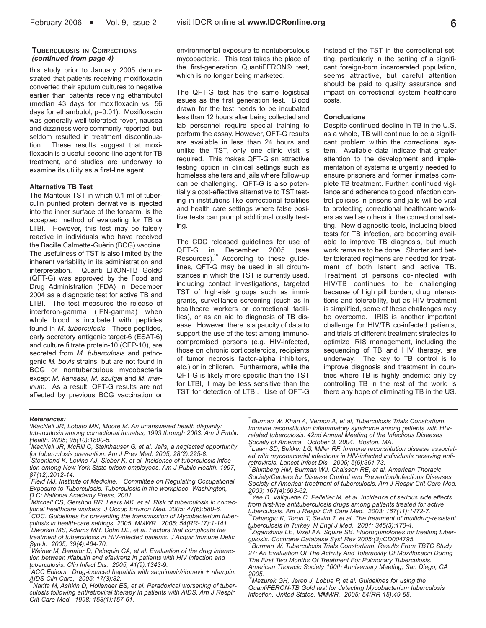#### **TUBERCULOSIS IN CORRECTIONS** *(continued from page 4)*

this study prior to January 2005 demonstrated that patients receiving moxifloxacin converted their sputum cultures to negative earlier than patients receiving ethambutol (median 43 days for moxifloxacin vs. 56 days for ethambutol, p=0.01). Moxifloxacin was generally well-tolerated: fever, nausea and dizziness were commonly reported, but seldom resulted in treatment discontinuation. These results suggest that moxifloxacin is a useful second-line agent for TB treatment, and studies are underway to examine its utility as a first-line agent.

#### **Alternative TB Test**

The Mantoux TST in which 0.1 ml of tuberculin purified protein derivative is injected into the inner surface of the forearm, is the accepted method of evaluating for TB or LTBI. However, this test may be falsely reactive in individuals who have received the Bacille Calmette-Guèrin (BCG) vaccine. The usefulness of TST is also limited by the inherent variability in its administration and interpretation. QuantiFERON-TB Gold® (QFT-G) was approved by the Food and Drug Administration (FDA) in December 2004 as a diagnostic test for active TB and LTBI. The test measures the release of interferon-gamma (IFN-gamma) when whole blood is incubated with peptides found in *M. tuberculosis*. These peptides, early secretory antigenic target-6 (ESAT-6) and culture filtrate protein-10 (CFP-10), are secreted from *M. tuberculosis* and pathogenic *M. bovis* strains, but are not found in BCG or nontuberculous mycobacteria except *M. kansasii, M. szulgai* and *M. marinum*. As a result, QFT-G results are not affected by previous BCG vaccination or

environmental exposure to nontuberculous mycobacteria. This test takes the place of the first-generation QuantiFERON® test, which is no longer being marketed.

The QFT-G test has the same logistical issues as the first generation test. Blood drawn for the test needs to be incubated less than 12 hours after being collected and lab personnel require special training to perform the assay. However, QFT-G results are available in less than 24 hours and unlike the TST, only one clinic visit is required. This makes QFT-G an attractive testing option in clinical settings such as homeless shelters and jails where follow-up can be challenging. QFT-G is also potentially a cost-effective alternative to TST testing in institutions like correctional facilities and health care settings where false positive tests can prompt additional costly testing.

The CDC released guidelines for use of QFT-G in December 2005 (see<br>Resources). According to these guidelines, QFT-G may be used in all circumstances in which the TST is currently used, including contact investigations, targeted TST of high-risk groups such as immigrants, surveillance screening (such as in healthcare workers or correctional facilities), or as an aid to diagnosis of TB disease. However, there is a paucity of data to support the use of the test among immunocompromised persons (e.g. HIV-infected, those on chronic corticosteroids, recipients of tumor necrosis factor-alpha inhibitors, etc.) or in children. Furthermore, while the QFT-G is likely more specific than the TST for LTBI, it may be less sensitive than the TST for detection of LTBI. Use of QFT-G instead of the TST in the correctional setting, particularly in the setting of a significant foreign-born incarcerated population, seems attractive, but careful attention should be paid to quality assurance and impact on correctional system healthcare costs.

#### **Conclusions**

Despite continued decline in TB in the U.S. as a whole, TB will continue to be a significant problem within the correctional system. Available data indicate that greater attention to the development and implementation of systems is urgently needed to ensure prisoners and former inmates complete TB treatment. Further, continued vigilance and adherence to good infection control policies in prisons and jails will be vital to protecting correctional healthcare workers as well as others in the correctional setting. New diagnostic tools, including blood tests for TB infection, are becoming available to improve TB diagnosis, but much work remains to be done. Shorter and better tolerated regimens are needed for treatment of both latent and active TB. Treatment of persons co-infected with HIV/TB continues to be challenging because of high pill burden, drug interactions and tolerability, but as HIV treatment is simplified, some of these challenges may be overcome. IRIS is another important challenge for HIV/TB co-infected patients, and trials of different treatment strategies to optimize IRIS management, including the sequencing of TB and HIV therapy, are underway. The key to TB control is to improve diagnosis and treatment in countries where TB is highly endemic; only by controlling TB in the rest of the world is there any hope of eliminating TB in the US.

#### *References:*

- *1 MacNeil JR, Lobato MN, Moore M. An unanswered health disparity: tuberculosis among correctional inmates, 1993 through 2003. Am J Public Health. 2005; 95(10):1800-5. 2*
- *MacNeil JR, McRill C, Steinhauser G, et al. Jails, a neglected opportunity for tuberculosis prevention. Am J Prev Med. 2005; 28(2):225-8. 3*
- *Steenland K, Levine AJ, Sieber K, et al. Incidence of tuberculosis infection among New York State prison employees. Am J Public Health. 1997; 87(12):2012-14. 4*
- *Field MJ, Institute of Medicine. Committee on Regulating Occupational Exposure to Tuberculosis. Tuberculosis in the workplace. Washington, D.C: National Academy Press, 2001. 5*
- *Mitchell CS, Gershon RR, Lears MK, et al. Risk of tuberculosis in correctional healthcare workers. J Occup Environ Med. 2005; 47(6):580-6. 6*
- *CDC. Guidelines for preventing the transmission of Mycobacterium tuberculosis in health-care settings, 2005. MMWR. 2005; 54(RR-17):1-141. 7 Dworkin MS, Adams MR, Cohn DL, et al. Factors that complicate the treatment of tuberculosis in HIV-infected patients. J Acquir Immune Defic*
- *Syndr. 2005; 39(4):464-70. 8 Weiner M, Benator D, Peloquin CA, et al. Evaluation of the drug interac-*
- *tion between rifabutin and efavirenz in patients with HIV infection and tuberculosis. Clin Infect Dis. 2005; 41(9):1343-9.*
- *9 ACC Editors. Drug-induced hepatitis with saquinavir/ritonavir + rifampin. AIDS Clin Care, 2005; 17(3):32.*
- *10Narita M, Ashkin D, Hollender ES, et al. Paradoxical worsening of tuberculosis following antiretroviral therapy in patients with AIDS. Am J Respir Crit Care Med. 1998; 158(1):157-61.*

*11Burman W, Khan A, Vernon A, et al, Tuberculosis Trials Constortium. Immune reconstitution inflammatory syndrome among patients with HIVrelated tuberculosis. 42nd Annual Meeting of the Infectious Diseases Society of America. October 3, 2004. Boston, MA.* 

Lawn SD, Bekker LG, Miller RF. Immune reconstitution disease associat*ed with mycobacterial infections in HIV-infected individuals receiving antiretrovirals. Lancet Infect Dis. 2005; 5(6):361-73.*

*13Blumberg HM, Burman WJ, Chaisson RE, et al. American Thoracic Society/Centers for Disease Control and Prevention/Infectious Diseases Society of America: treatment of tuberculosis. Am J Respir Crit Care Med. 2003; 167(4):603-62.*

Yee D, Valiquette C, Pelletier M, et al. Incidence of serious side effects *from first-line antituberculosis drugs among patients treated for active tuberculosis. Am J Respir Crit Care Med. 2003; 167(11):1472-7.*

*15Tahaoglu K, Torun T, Sevim T, et al. The treatment of multidrug-resistant tuberculosis in Turkey. N Engl J Med. 2001; 345(3):170-4.*

*16Ziganshina LE, Vizel AA, Squire SB. Fluoroquinolones for treating tuberculosis. Cochrane Database Syst Rev 2005;(3):CD004795.*

*17Burman W, Tuberculosis Trials Constortium. Results From TBTC Study 27: An Evaluation Of The Activity And Tolerability Of Moxifloxacin During The First Two Months Of Treatment For Pulmonary Tuberculosis. American Thoracic Society 100th Anniversary Meeting, San Diego, CA 2005.* 

*18Mazurek GH, Jereb J, Lobue P, et al. Guidelines for using the QuantiFERON-TB Gold test for detecting Mycobacterium tuberculosis infection, United States. MMWR. 2005; 54(RR-15):49-55.*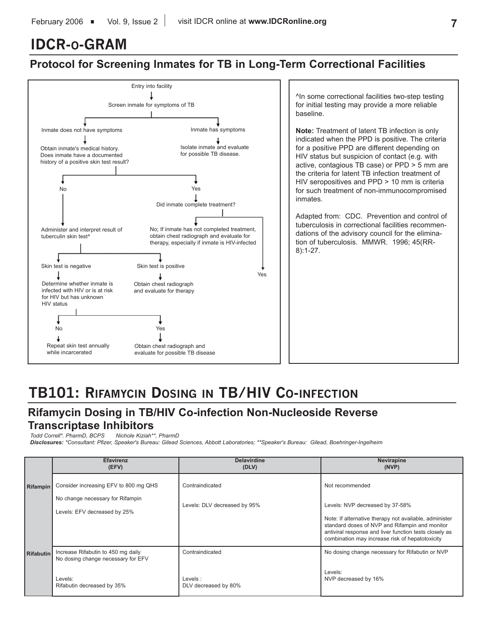# **IDCR-O-GRAM**

## **Protocol for Screening Inmates for TB in Long-Term Correctional Facilities**



^In some correctional facilities two-step testing for initial testing may provide a more reliable baseline.

**Note:** Treatment of latent TB infection is only indicated when the PPD is positive. The criteria for a positive PPD are different depending on HIV status but suspicion of contact (e.g. with active, contagious TB case) or PPD > 5 mm are the criteria for latent TB infection treatment of HIV seropositives and PPD > 10 mm is criteria for such treatment of non-immunocompromised inmates.

Adapted from: CDC. Prevention and control of tuberculosis in correctional facilities recommendations of the advisory council for the elimination of tuberculosis. MMWR. 1996; 45(RR-8):1-27.

# **TB101: RIFAMYCIN DOSING IN TB/HIV CO-INFECTION**

# **Rifamycin Dosing in TB/HIV Co-infection Non-Nucleoside Reverse Transcriptase Inhibitors**<br>Todd Correll\*. PharmD. BCPS Nichole Kiziah\*\*. PharmD

#### *Todd Correll\*. PharmD, BCPS Nichole Kiziah\*\*, PharmD*

*Disclosures: \*Consultant: Pfizer, Speaker's Bureau: Gilead Sciences, Abbott Laboratories; \*\*Speaker's Bureau: Gilead, Boehringer-Ingelheim*

|                  | <b>Efavirenz</b><br>(EFV)                                                                                         | <b>Delavirdine</b><br>(DLV)                        | Nevirapine<br>(NVP)                                                                                                                                                                                                                                                         |
|------------------|-------------------------------------------------------------------------------------------------------------------|----------------------------------------------------|-----------------------------------------------------------------------------------------------------------------------------------------------------------------------------------------------------------------------------------------------------------------------------|
| <b>Rifampin</b>  | Consider increasing EFV to 800 mg QHS<br>No change necessary for Rifampin<br>Levels: EFV decreased by 25%         | Contraindicated<br>Levels: DLV decreased by 95%    | Not recommended<br>Levels: NVP decreased by 37-58%<br>Note: If alternative therapy not available, administer<br>standard doses of NVP and Rifampin and monitor<br>antiviral response and liver function tests closely as<br>combination may increase risk of hepatotoxicity |
| <b>Rifabutin</b> | Increase Rifabutin to 450 mg daily<br>No dosing change necessary for EFV<br>Levels:<br>Rifabutin decreased by 35% | Contraindicated<br>Levels:<br>DLV decreased by 80% | No dosing change necessary for Rifabutin or NVP<br>Levels:<br>NVP decreased by 16%                                                                                                                                                                                          |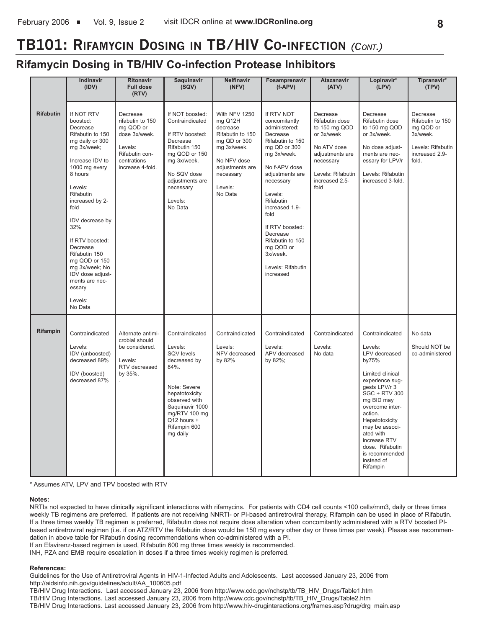# **TB101: RIFAMYCIN DOSING IN TB/HIV CO-INFECTION** *(CONT.)*

## **Rifamycin Dosing in TB/HIV Co-infection Protease Inhibitors**

|                  | Indinavir<br>(IDV)                                                                                                                                                                                                                                                                                                                                                            | <b>Ritonavir</b><br><b>Full dose</b><br>(RTV)                                                                              | Saquinavir<br>(SQV)                                                                                                                                                                                | <b>Nelfinavir</b><br>(NFV)                                                                                                                                   | Fosamprenavir<br>$(f-APV)$                                                                                                                                                                                                                                                                                                   | <b>Atazanavir</b><br>(ATV)                                                                                                                              | Lopinavir*<br>(LPV)                                                                                                                                                                                                                                                                                              | Tipranavir*<br>(TPV)                                                                                  |
|------------------|-------------------------------------------------------------------------------------------------------------------------------------------------------------------------------------------------------------------------------------------------------------------------------------------------------------------------------------------------------------------------------|----------------------------------------------------------------------------------------------------------------------------|----------------------------------------------------------------------------------------------------------------------------------------------------------------------------------------------------|--------------------------------------------------------------------------------------------------------------------------------------------------------------|------------------------------------------------------------------------------------------------------------------------------------------------------------------------------------------------------------------------------------------------------------------------------------------------------------------------------|---------------------------------------------------------------------------------------------------------------------------------------------------------|------------------------------------------------------------------------------------------------------------------------------------------------------------------------------------------------------------------------------------------------------------------------------------------------------------------|-------------------------------------------------------------------------------------------------------|
| <b>Rifabutin</b> | If NOT RTV<br>boosted:<br>Decrease<br>Rifabutin to 150<br>mg daily or 300<br>mg 3x/week;<br>Increase IDV to<br>1000 mg every<br>8 hours<br>Levels:<br>Rifabutin<br>increased by 2-<br>fold<br>IDV decrease by<br>32%<br>If RTV boosted:<br>Decrease<br>Rifabutin 150<br>mg QOD or 150<br>mg 3x/week; No<br>IDV dose adjust-<br>ments are nec-<br>essary<br>Levels:<br>No Data | Decrease<br>rifabutin to 150<br>mg QOD or<br>dose 3x/week.<br>Levels:<br>Rifabutin con-<br>centrations<br>increase 4-fold. | If NOT boosted:<br>Contraindicated<br>If RTV boosted:<br>Decrease<br>Rifabutin 150<br>mg QOD or 150<br>mg 3x/week.<br>No SQV dose<br>adjustments are<br>necessary<br>Levels:<br>No Data            | With NFV 1250<br>mg Q12H<br>decrease<br>Rifabutin to 150<br>mg QD or 300<br>mg 3x/week.<br>No NFV dose<br>adjustments are<br>necessary<br>Levels:<br>No Data | If RTV NOT<br>concomitantly<br>administered:<br>Decrease<br>Rifabutin to 150<br>mg QD or 300<br>mg 3x/week.<br>No f-APV dose<br>adjustments are<br>necessary<br>Levels:<br>Rifabutin<br>increased 1.9-<br>fold<br>If RTV boosted:<br>Decrease<br>Rifabutin to 150<br>mg QOD or<br>3x/week.<br>Levels: Rifabutin<br>increased | Decrease<br>Rifabutin dose<br>to 150 mg QOD<br>or 3x/week<br>No ATV dose<br>adjustments are<br>necessary<br>Levels: Rifabutin<br>increased 2.5-<br>fold | Decrease<br>Rifabutin dose<br>to 150 mg QOD<br>or 3x/week.<br>No dose adjust-<br>ments are nec-<br>essary for LPV/r<br>Levels: Rifabutin<br>increased 3-fold.                                                                                                                                                    | Decrease<br>Rifabutin to 150<br>mg QOD or<br>3x/week.<br>Levels: Rifabutin<br>increased 2.9-<br>fold. |
| Rifampin         | Contraindicated<br>Levels:<br>IDV (unboosted)<br>decreased 89%<br>IDV (boosted)<br>decreased 87%                                                                                                                                                                                                                                                                              | Alternate antimi-<br>crobial should<br>be considered.<br>Levels:<br>RTV decreased<br>by 35%.                               | Contraindicated<br>Levels:<br>SQV levels<br>decreased by<br>84%.<br>Note: Severe<br>hepatotoxicity<br>observed with<br>Saquinavir 1000<br>mg/RTV 100 mg<br>Q12 hours +<br>Rifampin 600<br>mg daily | Contraindicated<br>Levels:<br>NFV decreased<br>by 82%                                                                                                        | Contraindicated<br>Levels:<br>APV decreased<br>by 82%;                                                                                                                                                                                                                                                                       | Contraindicated<br>Levels:<br>No data                                                                                                                   | Contraindicated<br>Levels:<br>LPV decreased<br>by75%<br>Limited clinical<br>experience sug-<br>gests LPV/r 3<br><b>SGC + RTV 300</b><br>mg BID may<br>overcome inter-<br>action.<br>Hepatotoxicity<br>may be associ-<br>ated with<br>increase RTV<br>dose. Rifabutin<br>is recommended<br>instead of<br>Rifampin | No data<br>Should NOT be<br>co-administered                                                           |

\* Assumes ATV, LPV and TPV boosted with RTV

#### **Notes:**

NRTIs not expected to have clinically significant interactions with rifamycins. For patients with CD4 cell counts <100 cells/mm3, daily or three times weekly TB regimens are preferred. If patients are not receiving NNRTI- or PI-based antiretroviral therapy, Rifampin can be used in place of Rifabutin. If a three times weekly TB regimen is preferred, Rifabutin does not require dose alteration when concomitantly administered with a RTV boosted PIbased antiretroviral regimen (i.e. if on ATZ/RTV the Rifabutin dose would be 150 mg every other day or three times per week). Please see recommendation in above table for Rifabutin dosing recommendations when co-administered with a PI.

If an Efavirenz-based regimen is used, Rifabutin 600 mg three times weekly is recommended.

INH, PZA and EMB require escalation in doses if a three times weekly regimen is preferred.

#### **References:**

Guidelines for the Use of Antiretroviral Agents in HIV-1-Infected Adults and Adolescents. Last accessed January 23, 2006 from http://aidsinfo.nih.gov/guidelines/adult/AA\_100605.pdf

TB/HIV Drug Interactions. Last accessed January 23, 2006 from http://www.cdc.gov/nchstp/tb/TB\_HIV\_Drugs/Table1.htm TB/HIV Drug Interactions. Last accessed January 23, 2006 from http://www.cdc.gov/nchstp/tb/TB\_HIV\_Drugs/Table2.htm TB/HIV Drug Interactions. Last accessed January 23, 2006 from http://www.hiv-druginteractions.org/frames.asp?drug/drg\_main.asp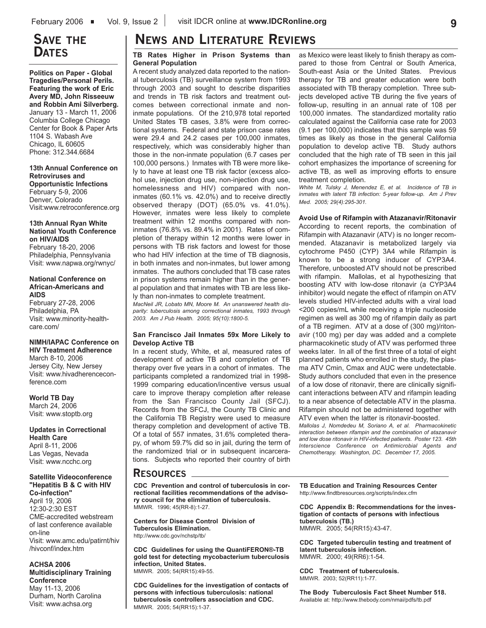## **SAVE THE DATES**

**Politics on Paper - Global Tragedies/Personal Perils. Featuring the work of Eric Avery MD, John Risseeuw and Robbin Ami Silverberg.**  January 13 - March 11, 2006 Columbia College Chicago Center for Book & Paper Arts 1104 S. Wabash Ave Chicago, IL 60605 Phone: 312.344.6684

**13th Annual Conference on Retroviruses and Opportunistic Infections** February 5-9, 2006 Denver, Colorado

Visit:www.retroconference.org

#### **13th Annual Ryan White National Youth Conference on HIV/AIDS**

February 18-20, 2006 Philadelphia, Pennsylvania Visit: www.napwa.org/rwnyc/

#### **National Conference on African-Americans and AIDS**

February 27-28, 2006 Philadelphia, PA Visit: www.minority-healthcare.com/

### **NIMH/IAPAC Conference on**

**HIV Treatment Adherence** March 8-10, 2006 Jersey City, New Jersey Visit: www.hivadherenceconference.com

**World TB Day** March 24, 2006 Visit: www.stoptb.org

**Updates in Correctional Health Care** April 8-11, 2006 Las Vegas, Nevada Visit: www.ncchc.org

#### **Satellite Videoconference "Hepatitis B & C with HIV Co-infection"**

April 19, 2006 12:30-2:30 EST CME-accredited webstream of last conference available on-line Visit: www.amc.edu/patirnt/hiv /hivconf/index.htm

#### **ACHSA 2006**

**Multidisciplinary Training Conference** May 11-13, 2006 Durham, North Carolina Visit: www.achsa.org

# **NEWS AND LITERATURE REVIEWS**

#### **TB Rates Higher in Prison Systems than General Population**

A recent study analyzed data reported to the national tuberculosis (TB) surveillance system from 1993 through 2003 and sought to describe disparities and trends in TB risk factors and treatment outcomes between correctional inmate and noninmate populations. Of the 210,978 total reported United States TB cases, 3.8% were from correctional systems. Federal and state prison case rates were 29.4 and 24.2 cases per 100,000 inmates, respectively, which was considerably higher than those in the non-inmate population (6.7 cases per 100,000 persons.) Inmates with TB were more likely to have at least one TB risk factor (excess alcohol use, injection drug use, non-injection drug use, homelessness and HIV) compared with noninmates (60.1% vs. 42.0%) and to receive directly observed therapy (DOT) (65.0% vs. 41.0%). However, inmates were less likely to complete treatment within 12 months compared with noninmates (76.8% vs. 89.4% in 2001). Rates of completion of therapy within 12 months were lower in persons with TB risk factors and lowest for those who had HIV infection at the time of TB diagnosis, in both inmates and non-inmates, but lower among inmates. The authors concluded that TB case rates in prison systems remain higher than in the general population and that inmates with TB are less likely than non-inmates to complete treatment.

*MacNeil JR, Lobato MN, Moore M. An unanswered health disparity: tuberculosis among correctional inmates, 1993 through 2003. Am J Pub Health. 2005; 95(10):1800-5.*

#### **San Francisco Jail Inmates 59x More Likely to Develop Active TB**

In a recent study, White, et al, measured rates of development of active TB and completion of TB therapy over five years in a cohort of inmates. The participants completed a randomized trial in 1998- 1999 comparing education/incentive versus usual care to improve therapy completion after release from the San Francisco County Jail (SFCJ). Records from the SFCJ, the County TB Clinic and the California TB Registry were used to measure therapy completion and development of active TB. Of a total of 557 inmates, 31.6% completed therapy, of whom 59.7% did so in jail, during the term of the randomized trial or in subsequent incarcerations. Subjects who reported their country of birth

as Mexico were least likely to finish therapy as compared to those from Central or South America, South-east Asia or the United States. Previous therapy for TB and greater education were both associated with TB therapy completion. Three subjects developed active TB during the five years of follow-up, resulting in an annual rate of 108 per 100,000 inmates. The standardized mortality ratio calculated against the California case rate for 2003 (9.1 per 100,000) indicates that this sample was 59 times as likely as those in the general California population to develop active TB. Study authors concluded that the high rate of TB seen in this jail cohort emphasizes the importance of screening for active TB, as well as improving efforts to ensure treatment completion.

*White M, Tulsky J, Menendez E, et al. Incidence of TB in inmates with latent TB infection: 5-year follow-up. Am J Prev Med. 2005; 29(4):295-301.*

**Avoid Use of Rifampin with Atazanavir/Ritonavir**

According to recent reports, the combination of Rifampin with Atazanavir (ATV) is no longer recommended. Atazanavir is metabolized largely via cytochrome P450 (CYP) 3A4 while Rifampin is known to be a strong inducer of CYP3A4. Therefore, unboosted ATV should not be prescribed with rifampin. Mallolas, et al hypothesizing that boosting ATV with low-dose ritonavir (a CYP3A4 inhibitor) would negate the effect of rifampin on ATV levels studied HIV-infected adults with a viral load <200 copies/mL while receiving a triple nucleoside regimen as well as 300 mg of rifampin daily as part of a TB regimen. ATV at a dose of (300 mg)/ritonavir (100 mg) per day was added and a complete pharmacokinetic study of ATV was performed three weeks later. In all of the first three of a total of eight planned patients who enrolled in the study, the plasma ATV Cmin, Cmax and AUC were undetectable. Study authors concluded that even in the presence of a low dose of ritonavir, there are clinically significant interactions between ATV and rifampin leading to a near absence of detectable ATV in the plasma. Rifampin should not be administered together with ATV even when the latter is ritonavir-boosted.

*Mallolas J, Nomdedeu M, Soriano A, et al. Pharmacokinetic interaction between rifampin and the combination of atazanavir and low dose ritonavir in HIV-infected patients. Poster 123. 45th Interscience Conference on Antimicrobial Agents and Chemotherapy. Washington, DC. December 17, 2005.*

### **RESOURCES**

**CDC Prevention and control of tuberculosis in correctional facilities recommendations of the advisory council for the elimination of tuberculosis.** MMWR. 1996; 45(RR-8):1-27.

**Centers for Disease Control Division of Tuberculosis Elimination.**  http://www.cdc.gov/nchstp/tb/

**CDC Guidelines for using the QuantiFERON®-TB gold test for detecting mycobacterium tuberculosis infection, United States.**  MMWR. 2005; 54(RR15):49-55.

**CDC Guidelines for the investigation of contacts of persons with infectious tuberculosis: national tuberculosis controllers association and CDC.**  MMWR. 2005; 54(RR15):1-37.

**TB Education and Training Resources Center**  http://www.findtbresources.org/scripts/index.cfm

**CDC Appendix B: Recommendations for the investigation of contacts of persons with infectious tuberculosis (TB.)** MMWR. 2005; 54(RR15):43-47.

**CDC Targeted tuberculin testing and treatment of latent tuberculosis infection.**  MMWR. 2000; 49(RR6):1-54.

**CDC Treatment of tuberculosis.**  MMWR. 2003; 52(RR11):1-77.

**The Body Tuberculosis Fact Sheet Number 518.** Available at: http://www.thebody.com/nmai/pdfs/tb.pdf